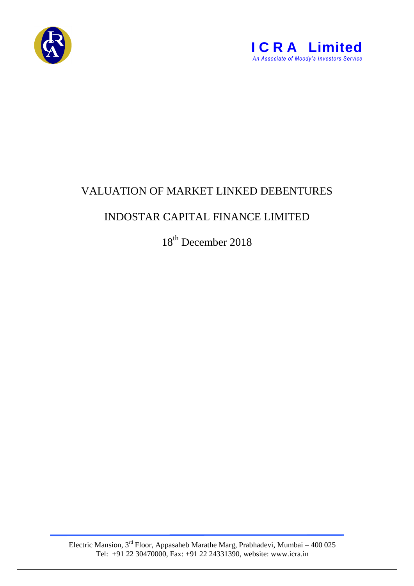



## VALUATION OF MARKET LINKED DEBENTURES

## INDOSTAR CAPITAL FINANCE LIMITED

18<sup>th</sup> December 2018